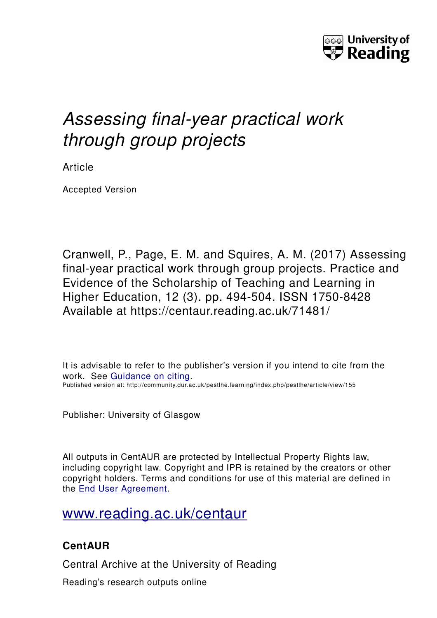

# *Assessing final-year practical work through group projects*

Article

Accepted Version

Cranwell, P., Page, E. M. and Squires, A. M. (2017) Assessing final-year practical work through group projects. Practice and Evidence of the Scholarship of Teaching and Learning in Higher Education, 12 (3). pp. 494-504. ISSN 1750-8428 Available at https://centaur.reading.ac.uk/71481/

It is advisable to refer to the publisher's version if you intend to cite from the work. See [Guidance on citing.](http://centaur.reading.ac.uk/71187/10/CentAUR%20citing%20guide.pdf) Published version at: http://community.dur.ac.uk/pestlhe.learning/index.php/pestlhe/article/view/155

Publisher: University of Glasgow

All outputs in CentAUR are protected by Intellectual Property Rights law, including copyright law. Copyright and IPR is retained by the creators or other copyright holders. Terms and conditions for use of this material are defined in the [End User Agreement.](http://centaur.reading.ac.uk/licence)

[www.reading.ac.uk/centaur](http://www.reading.ac.uk/centaur)

## **CentAUR**

Central Archive at the University of Reading

Reading's research outputs online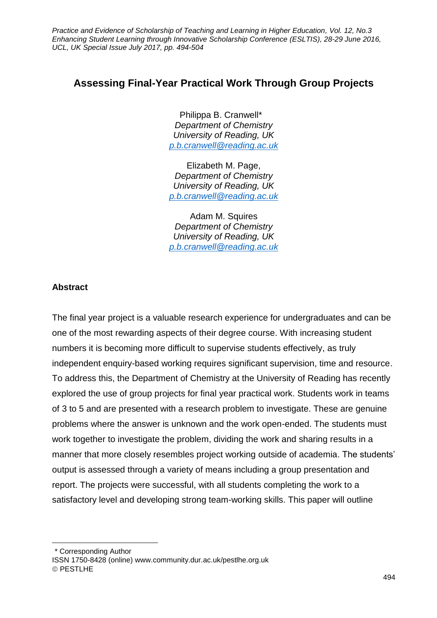*Practice and Evidence of Scholarship of Teaching and Learning in Higher Education, Vol. 12, No.3 Enhancing Student Learning through Innovative Scholarship Conference (ESLTIS), 28-29 June 2016, UCL, UK Special Issue July 2017, pp. 494-504*

### **Assessing Final-Year Practical Work Through Group Projects**

Philippa B. Cranwell\* 1 *Department of Chemistry University of Reading, UK [p.b.cranwell@reading.ac.uk](mailto:p.b.cranwell@reading.ac.uk)*

Elizabeth M. Page, *Department of Chemistry University of Reading, UK [p.b.cranwell@reading.ac.uk](mailto:p.b.cranwell@reading.ac.uk)*

Adam M. Squires *Department of Chemistry University of Reading, UK [p.b.cranwell@reading.ac.uk](mailto:p.b.cranwell@reading.ac.uk)*

#### **Abstract**

 $\overline{a}$ 

The final year project is a valuable research experience for undergraduates and can be one of the most rewarding aspects of their degree course. With increasing student numbers it is becoming more difficult to supervise students effectively, as truly independent enquiry-based working requires significant supervision, time and resource. To address this, the Department of Chemistry at the University of Reading has recently explored the use of group projects for final year practical work. Students work in teams of 3 to 5 and are presented with a research problem to investigate. These are genuine problems where the answer is unknown and the work open-ended. The students must work together to investigate the problem, dividing the work and sharing results in a manner that more closely resembles project working outside of academia. The students' output is assessed through a variety of means including a group presentation and report. The projects were successful, with all students completing the work to a satisfactory level and developing strong team-working skills. This paper will outline

\* Corresponding Author ISSN 1750-8428 (online) www.community.dur.ac.uk/pestlhe.org.uk © PESTLHE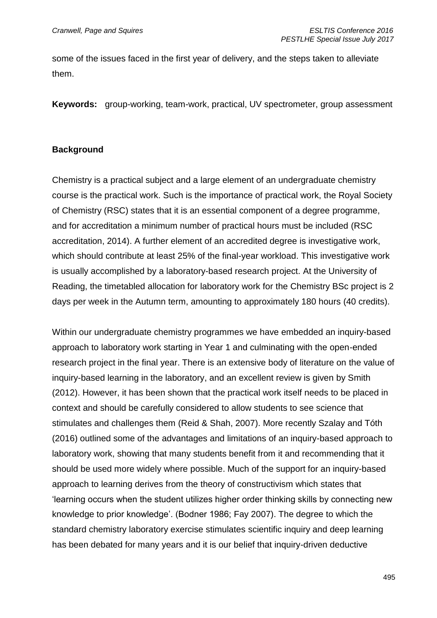some of the issues faced in the first year of delivery, and the steps taken to alleviate them.

**Keywords:** group-working, team-work, practical, UV spectrometer, group assessment

#### **Background**

Chemistry is a practical subject and a large element of an undergraduate chemistry course is the practical work. Such is the importance of practical work, the Royal Society of Chemistry (RSC) states that it is an essential component of a degree programme, and for accreditation a minimum number of practical hours must be included (RSC accreditation, 2014). A further element of an accredited degree is investigative work, which should contribute at least 25% of the final-year workload. This investigative work is usually accomplished by a laboratory-based research project. At the University of Reading, the timetabled allocation for laboratory work for the Chemistry BSc project is 2 days per week in the Autumn term, amounting to approximately 180 hours (40 credits).

Within our undergraduate chemistry programmes we have embedded an inquiry-based approach to laboratory work starting in Year 1 and culminating with the open-ended research project in the final year. There is an extensive body of literature on the value of inquiry-based learning in the laboratory, and an excellent review is given by Smith (2012). However, it has been shown that the practical work itself needs to be placed in context and should be carefully considered to allow students to see science that stimulates and challenges them (Reid & Shah, 2007). More recently Szalay and Tóth (2016) outlined some of the advantages and limitations of an inquiry-based approach to laboratory work, showing that many students benefit from it and recommending that it should be used more widely where possible. Much of the support for an inquiry-based approach to learning derives from the theory of constructivism which states that 'learning occurs when the student utilizes higher order thinking skills by connecting new knowledge to prior knowledge'. (Bodner 1986; Fay 2007). The degree to which the standard chemistry laboratory exercise stimulates scientific inquiry and deep learning has been debated for many years and it is our belief that inquiry-driven deductive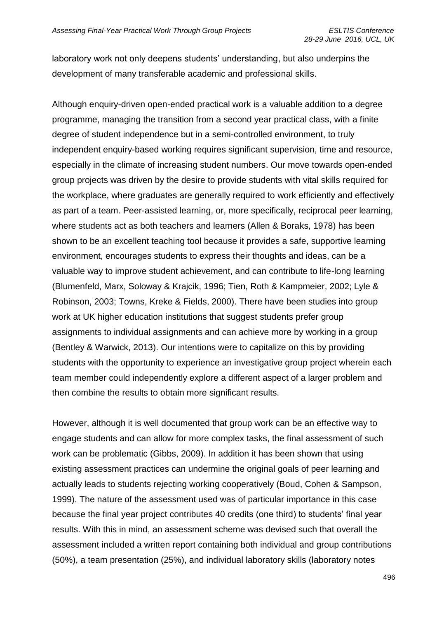laboratory work not only deepens students' understanding, but also underpins the development of many transferable academic and professional skills.

Although enquiry-driven open-ended practical work is a valuable addition to a degree programme, managing the transition from a second year practical class, with a finite degree of student independence but in a semi-controlled environment, to truly independent enquiry-based working requires significant supervision, time and resource, especially in the climate of increasing student numbers. Our move towards open-ended group projects was driven by the desire to provide students with vital skills required for the workplace, where graduates are generally required to work efficiently and effectively as part of a team. Peer-assisted learning, or, more specifically, reciprocal peer learning, where students act as both teachers and learners (Allen & Boraks, 1978) has been shown to be an excellent teaching tool because it provides a safe, supportive learning environment, encourages students to express their thoughts and ideas, can be a valuable way to improve student achievement, and can contribute to life-long learning (Blumenfeld, Marx, Soloway & Krajcik, 1996; Tien, Roth & Kampmeier, 2002; Lyle & Robinson, 2003; Towns, Kreke & Fields, 2000). There have been studies into group work at UK higher education institutions that suggest students prefer group assignments to individual assignments and can achieve more by working in a group (Bentley & Warwick, 2013). Our intentions were to capitalize on this by providing students with the opportunity to experience an investigative group project wherein each team member could independently explore a different aspect of a larger problem and then combine the results to obtain more significant results.

However, although it is well documented that group work can be an effective way to engage students and can allow for more complex tasks, the final assessment of such work can be problematic (Gibbs, 2009). In addition it has been shown that using existing assessment practices can undermine the original goals of peer learning and actually leads to students rejecting working cooperatively (Boud, Cohen & Sampson, 1999). The nature of the assessment used was of particular importance in this case because the final year project contributes 40 credits (one third) to students' final year results. With this in mind, an assessment scheme was devised such that overall the assessment included a written report containing both individual and group contributions (50%), a team presentation (25%), and individual laboratory skills (laboratory notes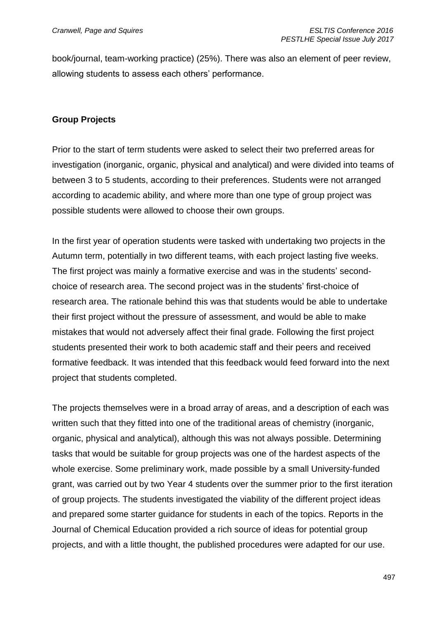book/journal, team-working practice) (25%). There was also an element of peer review, allowing students to assess each others' performance.

#### **Group Projects**

Prior to the start of term students were asked to select their two preferred areas for investigation (inorganic, organic, physical and analytical) and were divided into teams of between 3 to 5 students, according to their preferences. Students were not arranged according to academic ability, and where more than one type of group project was possible students were allowed to choose their own groups.

In the first year of operation students were tasked with undertaking two projects in the Autumn term, potentially in two different teams, with each project lasting five weeks. The first project was mainly a formative exercise and was in the students' secondchoice of research area. The second project was in the students' first-choice of research area. The rationale behind this was that students would be able to undertake their first project without the pressure of assessment, and would be able to make mistakes that would not adversely affect their final grade. Following the first project students presented their work to both academic staff and their peers and received formative feedback. It was intended that this feedback would feed forward into the next project that students completed.

The projects themselves were in a broad array of areas, and a description of each was written such that they fitted into one of the traditional areas of chemistry (inorganic, organic, physical and analytical), although this was not always possible. Determining tasks that would be suitable for group projects was one of the hardest aspects of the whole exercise. Some preliminary work, made possible by a small University-funded grant, was carried out by two Year 4 students over the summer prior to the first iteration of group projects. The students investigated the viability of the different project ideas and prepared some starter guidance for students in each of the topics. Reports in the Journal of Chemical Education provided a rich source of ideas for potential group projects, and with a little thought, the published procedures were adapted for our use.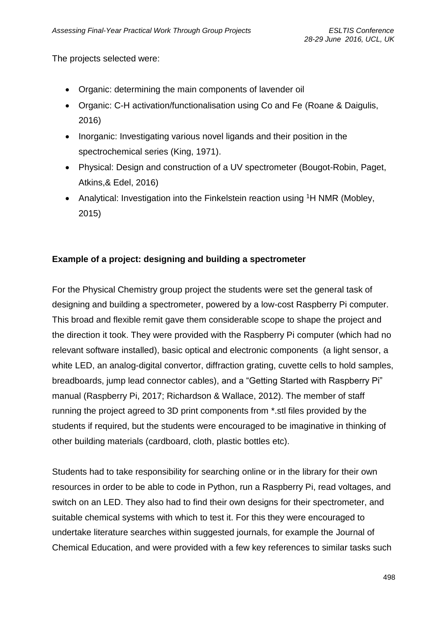The projects selected were:

- Organic: determining the main components of lavender oil
- Organic: C-H activation/functionalisation using Co and Fe (Roane & Daigulis, 2016)
- Inorganic: Investigating various novel ligands and their position in the spectrochemical series (King, 1971).
- Physical: Design and construction of a UV spectrometer (Bougot-Robin, Paget, Atkins,& Edel, 2016)
- Analytical: Investigation into the Finkelstein reaction using <sup>1</sup>H NMR (Mobley, 2015)

#### **Example of a project: designing and building a spectrometer**

For the Physical Chemistry group project the students were set the general task of designing and building a spectrometer, powered by a low-cost Raspberry Pi computer. This broad and flexible remit gave them considerable scope to shape the project and the direction it took. They were provided with the Raspberry Pi computer (which had no relevant software installed), basic optical and electronic components (a light sensor, a white LED, an analog-digital convertor, diffraction grating, cuvette cells to hold samples, breadboards, jump lead connector cables), and a "Getting Started with Raspberry Pi" manual (Raspberry Pi, 2017; Richardson & Wallace, 2012). The member of staff running the project agreed to 3D print components from \*.stl files provided by the students if required, but the students were encouraged to be imaginative in thinking of other building materials (cardboard, cloth, plastic bottles etc).

Students had to take responsibility for searching online or in the library for their own resources in order to be able to code in Python, run a Raspberry Pi, read voltages, and switch on an LED. They also had to find their own designs for their spectrometer, and suitable chemical systems with which to test it. For this they were encouraged to undertake literature searches within suggested journals, for example the Journal of Chemical Education, and were provided with a few key references to similar tasks such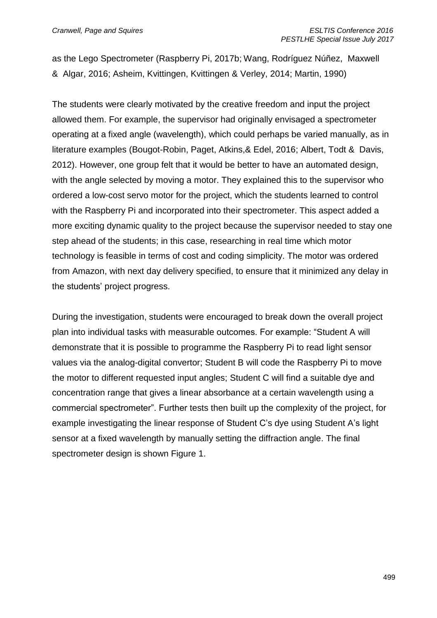as the Lego Spectrometer (Raspberry Pi, 2017b; Wang, Rodríguez Núñez, Maxwell & Algar, 2016; Asheim, Kvittingen, Kvittingen & Verley, 2014; Martin, 1990)

The students were clearly motivated by the creative freedom and input the project allowed them. For example, the supervisor had originally envisaged a spectrometer operating at a fixed angle (wavelength), which could perhaps be varied manually, as in literature examples (Bougot-Robin, Paget, Atkins,& Edel, 2016; Albert, Todt & Davis, 2012). However, one group felt that it would be better to have an automated design, with the angle selected by moving a motor. They explained this to the supervisor who ordered a low-cost servo motor for the project, which the students learned to control with the Raspberry Pi and incorporated into their spectrometer. This aspect added a more exciting dynamic quality to the project because the supervisor needed to stay one step ahead of the students; in this case, researching in real time which motor technology is feasible in terms of cost and coding simplicity. The motor was ordered from Amazon, with next day delivery specified, to ensure that it minimized any delay in the students' project progress.

During the investigation, students were encouraged to break down the overall project plan into individual tasks with measurable outcomes. For example: "Student A will demonstrate that it is possible to programme the Raspberry Pi to read light sensor values via the analog-digital convertor; Student B will code the Raspberry Pi to move the motor to different requested input angles; Student C will find a suitable dye and concentration range that gives a linear absorbance at a certain wavelength using a commercial spectrometer". Further tests then built up the complexity of the project, for example investigating the linear response of Student C's dye using Student A's light sensor at a fixed wavelength by manually setting the diffraction angle. The final spectrometer design is shown Figure 1.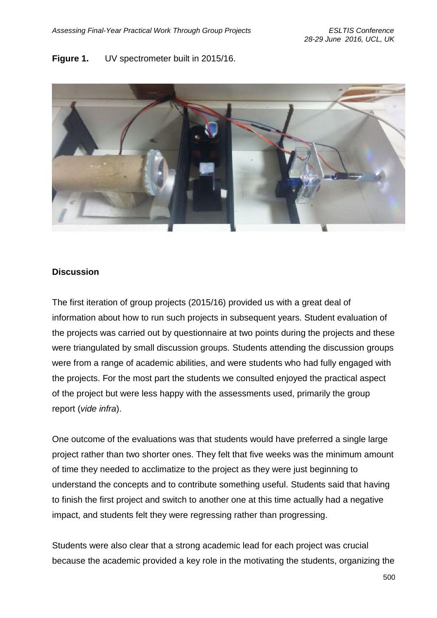#### **Figure 1.** UV spectrometer built in 2015/16.



#### **Discussion**

The first iteration of group projects (2015/16) provided us with a great deal of information about how to run such projects in subsequent years. Student evaluation of the projects was carried out by questionnaire at two points during the projects and these were triangulated by small discussion groups. Students attending the discussion groups were from a range of academic abilities, and were students who had fully engaged with the projects. For the most part the students we consulted enjoyed the practical aspect of the project but were less happy with the assessments used, primarily the group report (*vide infra*).

One outcome of the evaluations was that students would have preferred a single large project rather than two shorter ones. They felt that five weeks was the minimum amount of time they needed to acclimatize to the project as they were just beginning to understand the concepts and to contribute something useful. Students said that having to finish the first project and switch to another one at this time actually had a negative impact, and students felt they were regressing rather than progressing.

Students were also clear that a strong academic lead for each project was crucial because the academic provided a key role in the motivating the students, organizing the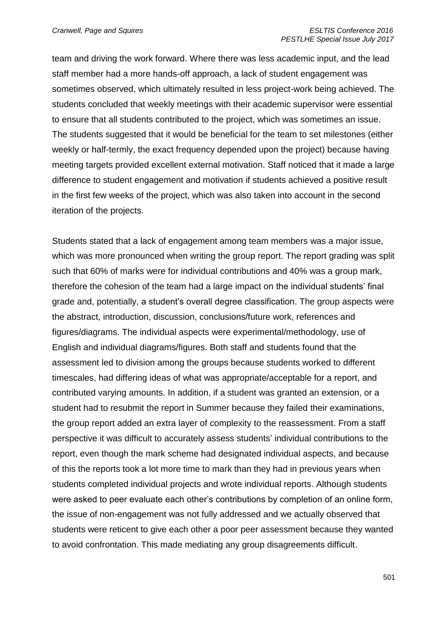team and driving the work forward. Where there was less academic input, and the lead staff member had a more hands-off approach, a lack of student engagement was sometimes observed, which ultimately resulted in less project-work being achieved. The students concluded that weekly meetings with their academic supervisor were essential to ensure that all students contributed to the project, which was sometimes an issue. The students suggested that it would be beneficial for the team to set milestones (either weekly or half-termly, the exact frequency depended upon the project) because having meeting targets provided excellent external motivation. Staff noticed that it made a large difference to student engagement and motivation if students achieved a positive result in the first few weeks of the project, which was also taken into account in the second iteration of the projects.

Students stated that a lack of engagement among team members was a major issue, which was more pronounced when writing the group report. The report grading was split such that 60% of marks were for individual contributions and 40% was a group mark, therefore the cohesion of the team had a large impact on the individual students' final grade and, potentially, a student's overall degree classification. The group aspects were the abstract, introduction, discussion, conclusions/future work, references and figures/diagrams. The individual aspects were experimental/methodology, use of English and individual diagrams/figures. Both staff and students found that the assessment led to division among the groups because students worked to different timescales, had differing ideas of what was appropriate/acceptable for a report, and contributed varying amounts. In addition, if a student was granted an extension, or a student had to resubmit the report in Summer because they failed their examinations, the group report added an extra layer of complexity to the reassessment. From a staff perspective it was difficult to accurately assess students' individual contributions to the report, even though the mark scheme had designated individual aspects, and because of this the reports took a lot more time to mark than they had in previous years when students completed individual projects and wrote individual reports. Although students were asked to peer evaluate each other's contributions by completion of an online form, the issue of non-engagement was not fully addressed and we actually observed that students were reticent to give each other a poor peer assessment because they wanted to avoid confrontation. This made mediating any group disagreements difficult.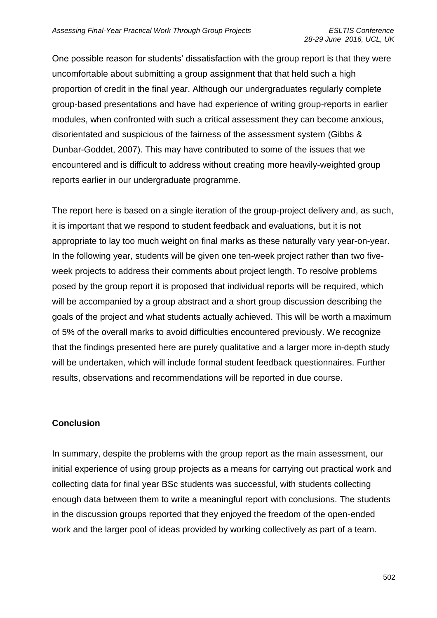One possible reason for students' dissatisfaction with the group report is that they were uncomfortable about submitting a group assignment that that held such a high proportion of credit in the final year. Although our undergraduates regularly complete group-based presentations and have had experience of writing group-reports in earlier modules, when confronted with such a critical assessment they can become anxious, disorientated and suspicious of the fairness of the assessment system (Gibbs & Dunbar-Goddet, 2007). This may have contributed to some of the issues that we encountered and is difficult to address without creating more heavily-weighted group reports earlier in our undergraduate programme.

The report here is based on a single iteration of the group-project delivery and, as such, it is important that we respond to student feedback and evaluations, but it is not appropriate to lay too much weight on final marks as these naturally vary year-on-year. In the following year, students will be given one ten-week project rather than two fiveweek projects to address their comments about project length. To resolve problems posed by the group report it is proposed that individual reports will be required, which will be accompanied by a group abstract and a short group discussion describing the goals of the project and what students actually achieved. This will be worth a maximum of 5% of the overall marks to avoid difficulties encountered previously. We recognize that the findings presented here are purely qualitative and a larger more in-depth study will be undertaken, which will include formal student feedback questionnaires. Further results, observations and recommendations will be reported in due course.

#### **Conclusion**

In summary, despite the problems with the group report as the main assessment, our initial experience of using group projects as a means for carrying out practical work and collecting data for final year BSc students was successful, with students collecting enough data between them to write a meaningful report with conclusions. The students in the discussion groups reported that they enjoyed the freedom of the open-ended work and the larger pool of ideas provided by working collectively as part of a team.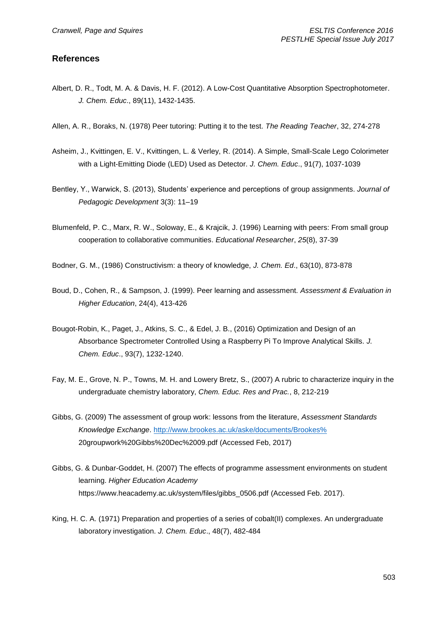#### **References**

- Albert, D. R., Todt, M. A. & Davis, H. F. (2012). A Low-Cost Quantitative Absorption Spectrophotometer. *J. Chem. Educ*., 89(11), 1432-1435.
- Allen, A. R., Boraks, N. (1978) Peer tutoring: Putting it to the test. *The Reading Teacher*, 32, 274-278
- Asheim, J., Kvittingen, E. V., Kvittingen, L. & Verley, R. (2014). A Simple, Small-Scale Lego Colorimeter with a Light-Emitting Diode (LED) Used as Detector. *J. Chem. Educ*., 91(7), 1037-1039
- Bentley, Y., Warwick, S. (2013), Students' experience and perceptions of group assignments. *Journal of Pedagogic Development* 3(3): 11–19
- Blumenfeld, P. C., Marx, R. W., Soloway, E., & Krajcik, J. (1996) Learning with peers: From small group cooperation to collaborative communities. *Educational Researcher*, *25*(8), 37-39
- Bodner, G. M., (1986) Constructivism: a theory of knowledge, *J. Chem. Ed*., 63(10), 873-878
- Boud, D., Cohen, R., & Sampson, J. (1999). Peer learning and assessment. *Assessment & Evaluation in Higher Education*, 24(4), 413-426
- Bougot-Robin, K., Paget, J., Atkins, S. C., & Edel, J. B., (2016) Optimization and Design of an Absorbance Spectrometer Controlled Using a Raspberry Pi To Improve Analytical Skills. *J. Chem. Educ*., 93(7), 1232-1240.
- Fay, M. E., Grove, N. P., Towns, M. H. and Lowery Bretz, S., (2007) A rubric to characterize inquiry in the undergraduate chemistry laboratory, *Chem. Educ. Res and Prac.*, 8, 212-219
- Gibbs, G. (2009) The assessment of group work: lessons from the literature, *Assessment Standards Knowledge Exchange*. [http://www.brookes.ac.uk/aske/documents/Brookes%](http://www.brookes.ac.uk/aske/documents/Brookes%25) 20groupwork%20Gibbs%20Dec%2009.pdf (Accessed Feb, 2017)
- Gibbs, G. & Dunbar-Goddet, H. (2007) The effects of programme assessment environments on student learning. *Higher Education Academy* https://www.heacademy.ac.uk/system/files/gibbs\_0506.pdf (Accessed Feb. 2017).
- King, H. C. A. (1971) Preparation and properties of a series of cobalt(II) complexes. An undergraduate laboratory investigation. *J. Chem. Educ*., 48(7), 482-484